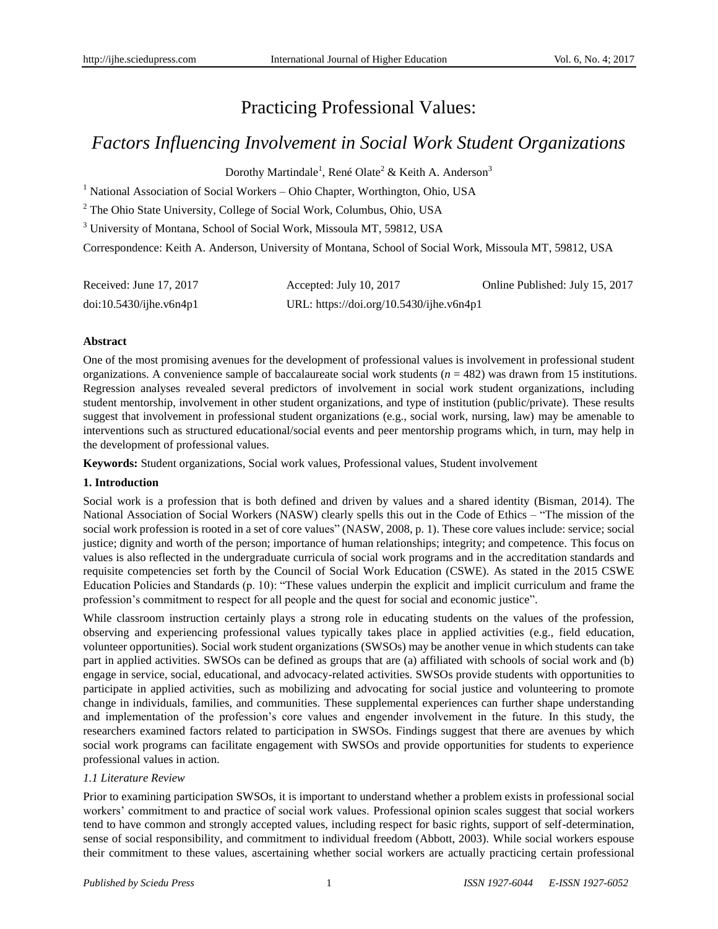# Practicing Professional Values:

## *Factors Influencing Involvement in Social Work Student Organizations*

Dorothy Martindale<sup>1</sup>, RenéOlate<sup>2</sup> & Keith A. Anderson<sup>3</sup>

<sup>1</sup> National Association of Social Workers – Ohio Chapter, Worthington, Ohio, USA

<sup>2</sup> The Ohio State University, College of Social Work, Columbus, Ohio, USA

<sup>3</sup> University of Montana, School of Social Work, Missoula MT, 59812, USA

Correspondence: Keith A. Anderson, University of Montana, School of Social Work, Missoula MT, 59812, USA

| Received: June 17, 2017    | Accepted: July 10, 2017                  | Online Published: July 15, 2017 |
|----------------------------|------------------------------------------|---------------------------------|
| $doi:10.5430/ij$ he.v6n4p1 | URL: https://doi.org/10.5430/ijhe.v6n4p1 |                                 |

#### **Abstract**

One of the most promising avenues for the development of professional values is involvement in professional student organizations. A convenience sample of baccalaureate social work students  $(n = 482)$  was drawn from 15 institutions. Regression analyses revealed several predictors of involvement in social work student organizations, including student mentorship, involvement in other student organizations, and type of institution (public/private). These results suggest that involvement in professional student organizations (e.g., social work, nursing, law) may be amenable to interventions such as structured educational/social events and peer mentorship programs which, in turn, may help in the development of professional values.

**Keywords:** Student organizations, Social work values, Professional values, Student involvement

## **1. Introduction**

Social work is a profession that is both defined and driven by values and a shared identity (Bisman, 2014). The National Association of Social Workers (NASW) clearly spells this out in the Code of Ethics – "The mission of the social work profession is rooted in a set of core values" (NASW, 2008, p. 1). These core values include: service; social justice; dignity and worth of the person; importance of human relationships; integrity; and competence. This focus on values is also reflected in the undergraduate curricula of social work programs and in the accreditation standards and requisite competencies set forth by the Council of Social Work Education (CSWE). As stated in the 2015 CSWE Education Policies and Standards (p. 10): "These values underpin the explicit and implicit curriculum and frame the profession's commitment to respect for all people and the quest for social and economic justice".

While classroom instruction certainly plays a strong role in educating students on the values of the profession, observing and experiencing professional values typically takes place in applied activities (e.g., field education, volunteer opportunities). Social work student organizations (SWSOs) may be another venue in which students can take part in applied activities. SWSOs can be defined as groups that are (a) affiliated with schools of social work and (b) engage in service, social, educational, and advocacy-related activities. SWSOs provide students with opportunities to participate in applied activities, such as mobilizing and advocating for social justice and volunteering to promote change in individuals, families, and communities. These supplemental experiences can further shape understanding and implementation of the profession's core values and engender involvement in the future. In this study, the researchers examined factors related to participation in SWSOs. Findings suggest that there are avenues by which social work programs can facilitate engagement with SWSOs and provide opportunities for students to experience professional values in action.

## *1.1 Literature Review*

Prior to examining participation SWSOs, it is important to understand whether a problem exists in professional social workers' commitment to and practice of social work values. Professional opinion scales suggest that social workers tend to have common and strongly accepted values, including respect for basic rights, support of self-determination, sense of social responsibility, and commitment to individual freedom (Abbott, 2003). While social workers espouse their commitment to these values, ascertaining whether social workers are actually practicing certain professional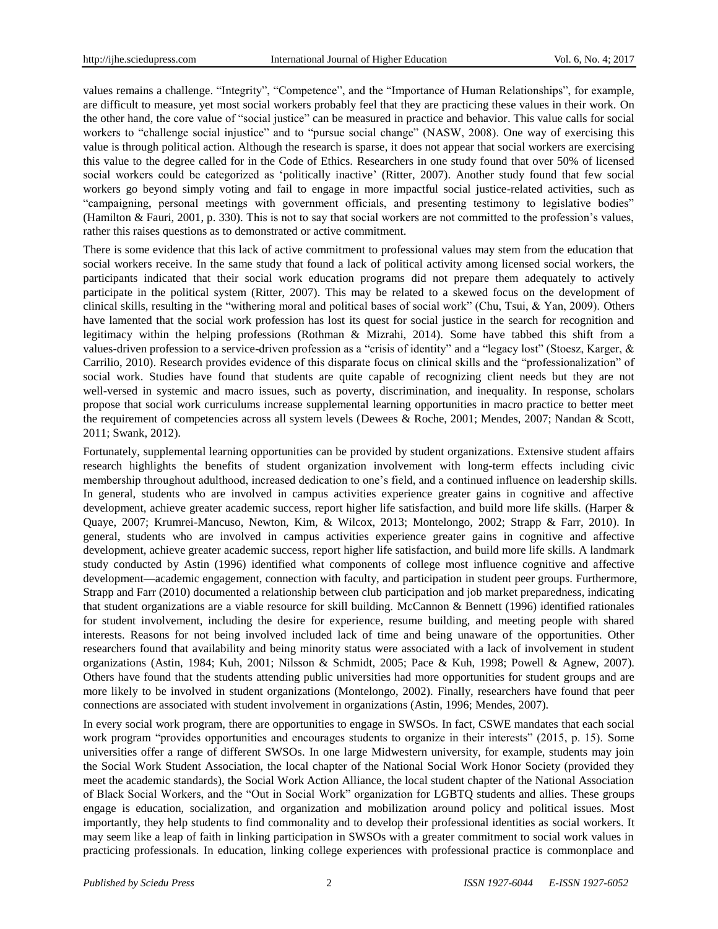values remains a challenge. "Integrity", "Competence", and the "Importance of Human Relationships", for example, are difficult to measure, yet most social workers probably feel that they are practicing these values in their work. On the other hand, the core value of "social justice" can be measured in practice and behavior. This value calls for social workers to "challenge social injustice" and to "pursue social change" (NASW, 2008). One way of exercising this value is through political action. Although the research is sparse, it does not appear that social workers are exercising this value to the degree called for in the Code of Ethics. Researchers in one study found that over 50% of licensed social workers could be categorized as 'politically inactive' (Ritter, 2007). Another study found that few social workers go beyond simply voting and fail to engage in more impactful social justice-related activities, such as "campaigning, personal meetings with government officials, and presenting testimony to legislative bodies" (Hamilton & Fauri, 2001, p. 330). This is not to say that social workers are not committed to the profession's values, rather this raises questions as to demonstrated or active commitment.

There is some evidence that this lack of active commitment to professional values may stem from the education that social workers receive. In the same study that found a lack of political activity among licensed social workers, the participants indicated that their social work education programs did not prepare them adequately to actively participate in the political system (Ritter, 2007). This may be related to a skewed focus on the development of clinical skills, resulting in the "withering moral and political bases of social work" (Chu, Tsui, & Yan, 2009). Others have lamented that the social work profession has lost its quest for social justice in the search for recognition and legitimacy within the helping professions (Rothman & Mizrahi, 2014). Some have tabbed this shift from a values-driven profession to a service-driven profession as a "crisis of identity" and a "legacy lost" (Stoesz, Karger, & Carrilio, 2010). Research provides evidence of this disparate focus on clinical skills and the "professionalization" of social work. Studies have found that students are quite capable of recognizing client needs but they are not well-versed in systemic and macro issues, such as poverty, discrimination, and inequality. In response, scholars propose that social work curriculums increase supplemental learning opportunities in macro practice to better meet the requirement of competencies across all system levels (Dewees & Roche, 2001; Mendes, 2007; Nandan & Scott, 2011; Swank, 2012).

Fortunately, supplemental learning opportunities can be provided by student organizations. Extensive student affairs research highlights the benefits of student organization involvement with long-term effects including civic membership throughout adulthood, increased dedication to one's field, and a continued influence on leadership skills. In general, students who are involved in campus activities experience greater gains in cognitive and affective development, achieve greater academic success, report higher life satisfaction, and build more life skills. (Harper & Quaye, 2007; Krumrei-Mancuso, Newton, Kim, & Wilcox, 2013; Montelongo, 2002; Strapp & Farr, 2010). In general, students who are involved in campus activities experience greater gains in cognitive and affective development, achieve greater academic success, report higher life satisfaction, and build more life skills. A landmark study conducted by Astin (1996) identified what components of college most influence cognitive and affective development—academic engagement, connection with faculty, and participation in student peer groups. Furthermore, Strapp and Farr (2010) documented a relationship between club participation and job market preparedness, indicating that student organizations are a viable resource for skill building. McCannon & Bennett (1996) identified rationales for student involvement, including the desire for experience, resume building, and meeting people with shared interests. Reasons for not being involved included lack of time and being unaware of the opportunities. Other researchers found that availability and being minority status were associated with a lack of involvement in student organizations (Astin, 1984; Kuh, 2001; Nilsson & Schmidt, 2005; Pace & Kuh, 1998; Powell & Agnew, 2007). Others have found that the students attending public universities had more opportunities for student groups and are more likely to be involved in student organizations (Montelongo, 2002). Finally, researchers have found that peer connections are associated with student involvement in organizations (Astin, 1996; Mendes, 2007).

In every social work program, there are opportunities to engage in SWSOs. In fact, CSWE mandates that each social work program "provides opportunities and encourages students to organize in their interests" (2015, p. 15). Some universities offer a range of different SWSOs. In one large Midwestern university, for example, students may join the Social Work Student Association, the local chapter of the National Social Work Honor Society (provided they meet the academic standards), the Social Work Action Alliance, the local student chapter of the National Association of Black Social Workers, and the "Out in Social Work" organization for LGBTQ students and allies. These groups engage is education, socialization, and organization and mobilization around policy and political issues. Most importantly, they help students to find commonality and to develop their professional identities as social workers. It may seem like a leap of faith in linking participation in SWSOs with a greater commitment to social work values in practicing professionals. In education, linking college experiences with professional practice is commonplace and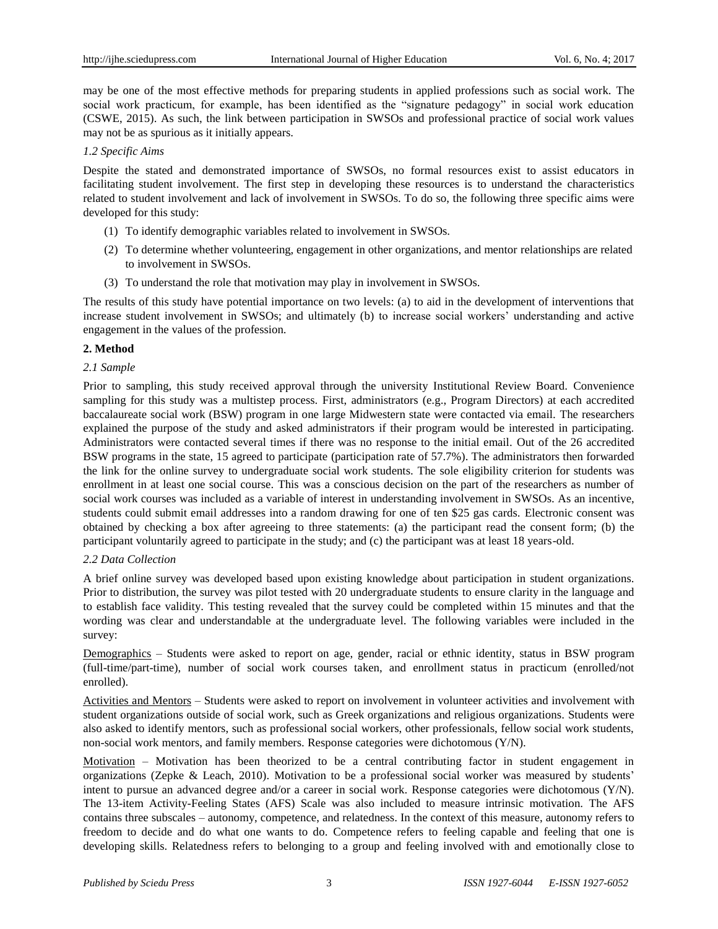may be one of the most effective methods for preparing students in applied professions such as social work. The social work practicum, for example, has been identified as the "signature pedagogy" in social work education (CSWE, 2015). As such, the link between participation in SWSOs and professional practice of social work values may not be as spurious as it initially appears.

#### *1.2 Specific Aims*

Despite the stated and demonstrated importance of SWSOs, no formal resources exist to assist educators in facilitating student involvement. The first step in developing these resources is to understand the characteristics related to student involvement and lack of involvement in SWSOs. To do so, the following three specific aims were developed for this study:

- (1) To identify demographic variables related to involvement in SWSOs.
- (2) To determine whether volunteering, engagement in other organizations, and mentor relationships are related to involvement in SWSOs.
- (3) To understand the role that motivation may play in involvement in SWSOs.

The results of this study have potential importance on two levels: (a) to aid in the development of interventions that increase student involvement in SWSOs; and ultimately (b) to increase social workers' understanding and active engagement in the values of the profession.

## **2. Method**

## *2.1 Sample*

Prior to sampling, this study received approval through the university Institutional Review Board. Convenience sampling for this study was a multistep process. First, administrators (e.g., Program Directors) at each accredited baccalaureate social work (BSW) program in one large Midwestern state were contacted via email. The researchers explained the purpose of the study and asked administrators if their program would be interested in participating. Administrators were contacted several times if there was no response to the initial email. Out of the 26 accredited BSW programs in the state, 15 agreed to participate (participation rate of 57.7%). The administrators then forwarded the link for the online survey to undergraduate social work students. The sole eligibility criterion for students was enrollment in at least one social course. This was a conscious decision on the part of the researchers as number of social work courses was included as a variable of interest in understanding involvement in SWSOs. As an incentive, students could submit email addresses into a random drawing for one of ten \$25 gas cards. Electronic consent was obtained by checking a box after agreeing to three statements: (a) the participant read the consent form; (b) the participant voluntarily agreed to participate in the study; and (c) the participant was at least 18 years-old.

## *2.2 Data Collection*

A brief online survey was developed based upon existing knowledge about participation in student organizations. Prior to distribution, the survey was pilot tested with 20 undergraduate students to ensure clarity in the language and to establish face validity. This testing revealed that the survey could be completed within 15 minutes and that the wording was clear and understandable at the undergraduate level. The following variables were included in the survey:

Demographics – Students were asked to report on age, gender, racial or ethnic identity, status in BSW program (full-time/part-time), number of social work courses taken, and enrollment status in practicum (enrolled/not enrolled).

Activities and Mentors – Students were asked to report on involvement in volunteer activities and involvement with student organizations outside of social work, such as Greek organizations and religious organizations. Students were also asked to identify mentors, such as professional social workers, other professionals, fellow social work students, non-social work mentors, and family members. Response categories were dichotomous (Y/N).

Motivation – Motivation has been theorized to be a central contributing factor in student engagement in organizations (Zepke & Leach, 2010). Motivation to be a professional social worker was measured by students' intent to pursue an advanced degree and/or a career in social work. Response categories were dichotomous (Y/N). The 13-item Activity-Feeling States (AFS) Scale was also included to measure intrinsic motivation. The AFS contains three subscales – autonomy, competence, and relatedness. In the context of this measure, autonomy refers to freedom to decide and do what one wants to do. Competence refers to feeling capable and feeling that one is developing skills. Relatedness refers to belonging to a group and feeling involved with and emotionally close to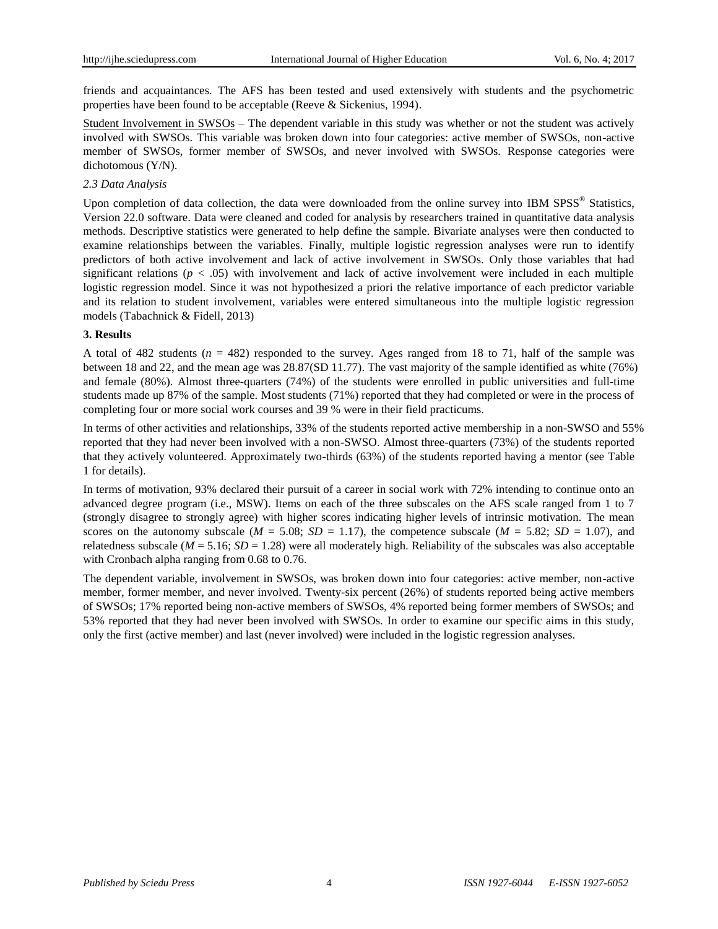friends and acquaintances. The AFS has been tested and used extensively with students and the psychometric properties have been found to be acceptable (Reeve & Sickenius, 1994).

Student Involvement in SWSOs – The dependent variable in this study was whether or not the student was actively involved with SWSOs. This variable was broken down into four categories: active member of SWSOs, non-active member of SWSOs, former member of SWSOs, and never involved with SWSOs. Response categories were dichotomous (Y/N).

#### *2.3 Data Analysis*

Upon completion of data collection, the data were downloaded from the online survey into IBM SPSS® Statistics, Version 22.0 software. Data were cleaned and coded for analysis by researchers trained in quantitative data analysis methods. Descriptive statistics were generated to help define the sample. Bivariate analyses were then conducted to examine relationships between the variables. Finally, multiple logistic regression analyses were run to identify predictors of both active involvement and lack of active involvement in SWSOs. Only those variables that had significant relations ( $p < .05$ ) with involvement and lack of active involvement were included in each multiple logistic regression model. Since it was not hypothesized a priori the relative importance of each predictor variable and its relation to student involvement, variables were entered simultaneous into the multiple logistic regression models (Tabachnick & Fidell, 2013)

#### **3. Results**

A total of 482 students  $(n = 482)$  responded to the survey. Ages ranged from 18 to 71, half of the sample was between 18 and 22, and the mean age was 28.87(SD 11.77). The vast majority of the sample identified as white (76%) and female (80%). Almost three-quarters (74%) of the students were enrolled in public universities and full-time students made up 87% of the sample. Most students (71%) reported that they had completed or were in the process of completing four or more social work courses and 39 % were in their field practicums.

In terms of other activities and relationships, 33% of the students reported active membership in a non-SWSO and 55% reported that they had never been involved with a non-SWSO. Almost three-quarters (73%) of the students reported that they actively volunteered. Approximately two-thirds (63%) of the students reported having a mentor (see Table 1 for details).

In terms of motivation, 93% declared their pursuit of a career in social work with 72% intending to continue onto an advanced degree program (i.e., MSW). Items on each of the three subscales on the AFS scale ranged from 1 to 7 (strongly disagree to strongly agree) with higher scores indicating higher levels of intrinsic motivation. The mean scores on the autonomy subscale ( $M = 5.08$ ;  $SD = 1.17$ ), the competence subscale ( $M = 5.82$ ;  $SD = 1.07$ ), and relatedness subscale ( $M = 5.16$ ;  $SD = 1.28$ ) were all moderately high. Reliability of the subscales was also acceptable with Cronbach alpha ranging from 0.68 to 0.76.

The dependent variable, involvement in SWSOs, was broken down into four categories: active member, non-active member, former member, and never involved. Twenty-six percent (26%) of students reported being active members of SWSOs; 17% reported being non-active members of SWSOs, 4% reported being former members of SWSOs; and 53% reported that they had never been involved with SWSOs. In order to examine our specific aims in this study, only the first (active member) and last (never involved) were included in the logistic regression analyses.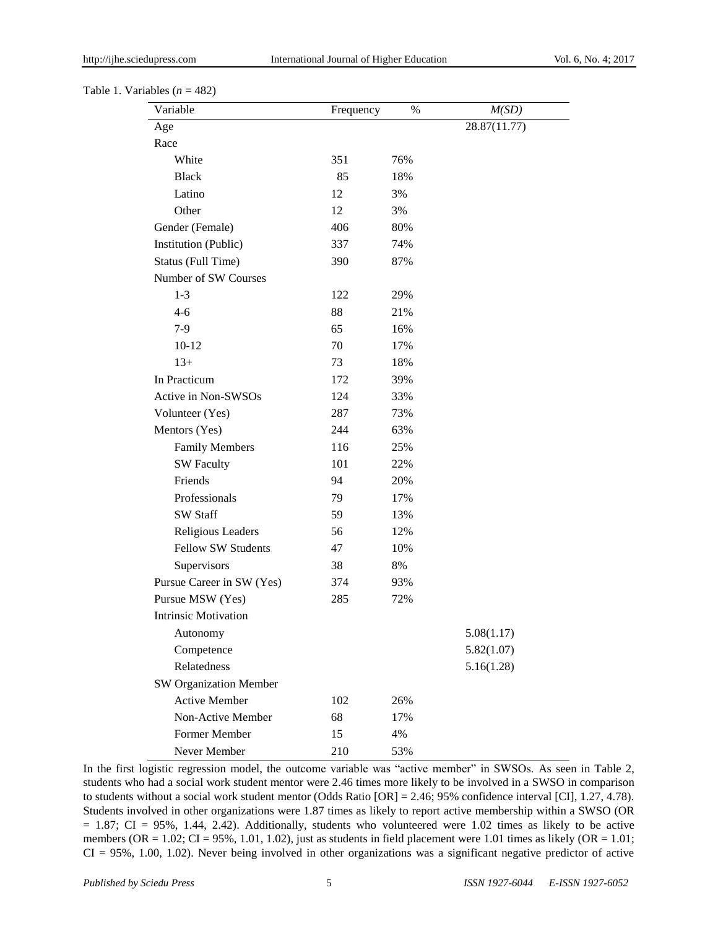#### Table 1. Variables  $(n = 482)$

| Variable                      | Frequency | %   | M(SD)        |
|-------------------------------|-----------|-----|--------------|
| Age                           |           |     | 28.87(11.77) |
| Race                          |           |     |              |
| White                         | 351       | 76% |              |
| <b>Black</b>                  | 85        | 18% |              |
| Latino                        | 12        | 3%  |              |
| Other                         | 12        | 3%  |              |
| Gender (Female)               | 406       | 80% |              |
| <b>Institution (Public)</b>   | 337       | 74% |              |
| Status (Full Time)            | 390       | 87% |              |
| Number of SW Courses          |           |     |              |
| $1 - 3$                       | 122       | 29% |              |
| $4-6$                         | 88        | 21% |              |
| $7-9$                         | 65        | 16% |              |
| $10-12$                       | 70        | 17% |              |
| $13+$                         | 73        | 18% |              |
| In Practicum                  | 172       | 39% |              |
| Active in Non-SWSOs           | 124       | 33% |              |
| Volunteer (Yes)               | 287       | 73% |              |
| Mentors (Yes)                 | 244       | 63% |              |
| <b>Family Members</b>         | 116       | 25% |              |
| <b>SW Faculty</b>             | 101       | 22% |              |
| Friends                       | 94        | 20% |              |
| Professionals                 | 79        | 17% |              |
| SW Staff                      | 59        | 13% |              |
| Religious Leaders             | 56        | 12% |              |
| <b>Fellow SW Students</b>     | 47        | 10% |              |
| Supervisors                   | 38        | 8%  |              |
| Pursue Career in SW (Yes)     | 374       | 93% |              |
| Pursue MSW (Yes)              | 285       | 72% |              |
| <b>Intrinsic Motivation</b>   |           |     |              |
| Autonomy                      |           |     | 5.08(1.17)   |
| Competence                    |           |     | 5.82(1.07)   |
| Relatedness                   |           |     | 5.16(1.28)   |
| <b>SW Organization Member</b> |           |     |              |
| <b>Active Member</b>          | 102       | 26% |              |
| Non-Active Member             | 68        | 17% |              |
| Former Member                 | 15        | 4%  |              |
| Never Member                  | 210       | 53% |              |

In the first logistic regression model, the outcome variable was "active member" in SWSOs. As seen in Table 2, students who had a social work student mentor were 2.46 times more likely to be involved in a SWSO in comparison to students without a social work student mentor (Odds Ratio [OR] = 2.46; 95% confidence interval [CI], 1.27, 4.78). Students involved in other organizations were 1.87 times as likely to report active membership within a SWSO (OR = 1.87; CI = 95%, 1.44, 2.42). Additionally, students who volunteered were 1.02 times as likely to be active members (OR =  $1.02$ ; CI = 95%, 1.01, 1.02), just as students in field placement were 1.01 times as likely (OR = 1.01; CI = 95%, 1.00, 1.02). Never being involved in other organizations was a significant negative predictor of active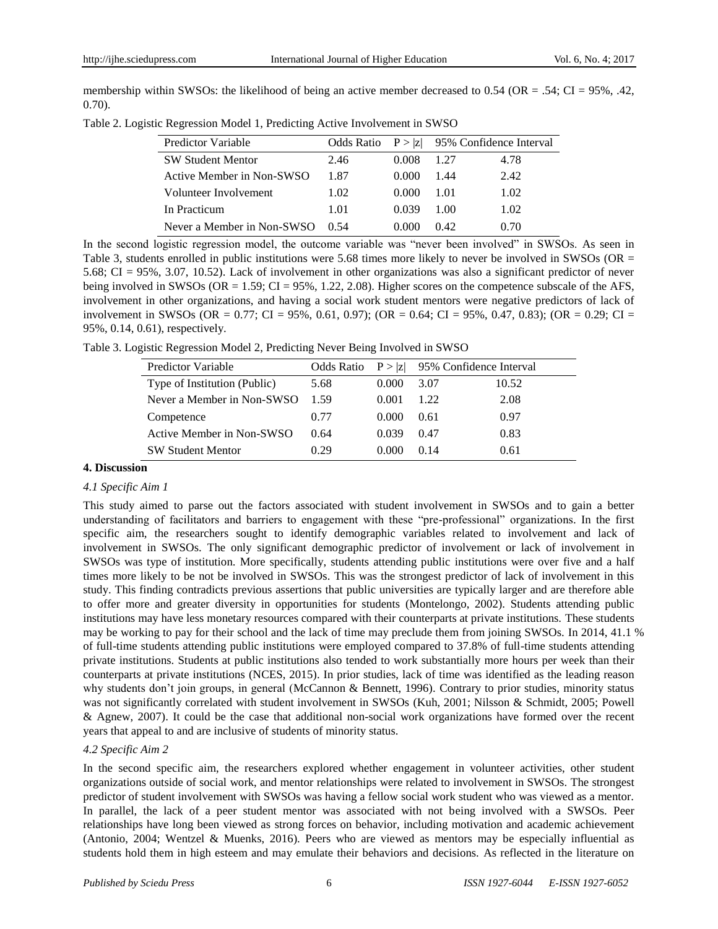membership within SWSOs: the likelihood of being an active member decreased to  $0.54$  (OR = .54; CI = 95%, .42, 0.70).

|  |  |  | Table 2. Logistic Regression Model 1, Predicting Active Involvement in SWSO |  |
|--|--|--|-----------------------------------------------------------------------------|--|
|--|--|--|-----------------------------------------------------------------------------|--|

| <b>Predictor Variable</b>  | Odds Ratio |       |       | $P >  z $ 95% Confidence Interval |
|----------------------------|------------|-------|-------|-----------------------------------|
| <b>SW Student Mentor</b>   | 2.46       | 0.008 | 1 27  | 4.78                              |
| Active Member in Non-SWSO  | 1.87       | 0.000 | 1.44  | 2.42                              |
| Volunteer Involvement      | 1.02       | 0.000 | 1.01  | 1.02                              |
| In Practicum               | 1.01       | 0.039 | 100   | 1.02                              |
| Never a Member in Non-SWSO | (154)      | 0.000 | (142) | 0.70                              |

In the second logistic regression model, the outcome variable was "never been involved" in SWSOs. As seen in Table 3, students enrolled in public institutions were 5.68 times more likely to never be involved in SWSOs (OR = 5.68; CI = 95%, 3.07, 10.52). Lack of involvement in other organizations was also a significant predictor of never being involved in SWSOs (OR =  $1.59$ ; CI =  $95\%$ , 1.22, 2.08). Higher scores on the competence subscale of the AFS, involvement in other organizations, and having a social work student mentors were negative predictors of lack of involvement in SWSOs (OR = 0.77; CI = 95%, 0.61, 0.97); (OR = 0.64; CI = 95%, 0.47, 0.83); (OR = 0.29; CI = 95%, 0.14, 0.61), respectively.

Table 3. Logistic Regression Model 2, Predicting Never Being Involved in SWSO

| <b>Predictor Variable</b>    |      |       |        | Odds Ratio $P >  z $ 95% Confidence Interval |
|------------------------------|------|-------|--------|----------------------------------------------|
| Type of Institution (Public) | 5.68 | 0.000 | 3.07   | 10.52                                        |
| Never a Member in Non-SWSO   | 1.59 | 0.001 | 1.22   | 2.08                                         |
| Competence                   | 0.77 | 0.000 | 0.61   | 0.97                                         |
| Active Member in Non-SWSO    | 0.64 | 0.039 | 0.47   | 0.83                                         |
| <b>SW Student Mentor</b>     | 0.29 | 0.000 | (0.14) | 0.61                                         |

## **4. Discussion**

#### *4.1 Specific Aim 1*

This study aimed to parse out the factors associated with student involvement in SWSOs and to gain a better understanding of facilitators and barriers to engagement with these "pre-professional" organizations. In the first specific aim, the researchers sought to identify demographic variables related to involvement and lack of involvement in SWSOs. The only significant demographic predictor of involvement or lack of involvement in SWSOs was type of institution. More specifically, students attending public institutions were over five and a half times more likely to be not be involved in SWSOs. This was the strongest predictor of lack of involvement in this study. This finding contradicts previous assertions that public universities are typically larger and are therefore able to offer more and greater diversity in opportunities for students (Montelongo, 2002). Students attending public institutions may have less monetary resources compared with their counterparts at private institutions. These students may be working to pay for their school and the lack of time may preclude them from joining SWSOs. In 2014, 41.1 % of full-time students attending public institutions were employed compared to 37.8% of full-time students attending private institutions. Students at public institutions also tended to work substantially more hours per week than their counterparts at private institutions (NCES, 2015). In prior studies, lack of time was identified as the leading reason why students don't join groups, in general (McCannon & Bennett, 1996). Contrary to prior studies, minority status was not significantly correlated with student involvement in SWSOs (Kuh, 2001; Nilsson & Schmidt, 2005; Powell & Agnew, 2007). It could be the case that additional non-social work organizations have formed over the recent years that appeal to and are inclusive of students of minority status.

## *4.2 Specific Aim 2*

In the second specific aim, the researchers explored whether engagement in volunteer activities, other student organizations outside of social work, and mentor relationships were related to involvement in SWSOs. The strongest predictor of student involvement with SWSOs was having a fellow social work student who was viewed as a mentor. In parallel, the lack of a peer student mentor was associated with not being involved with a SWSOs. Peer relationships have long been viewed as strong forces on behavior, including motivation and academic achievement (Antonio, 2004; Wentzel & Muenks, 2016). Peers who are viewed as mentors may be especially influential as students hold them in high esteem and may emulate their behaviors and decisions. As reflected in the literature on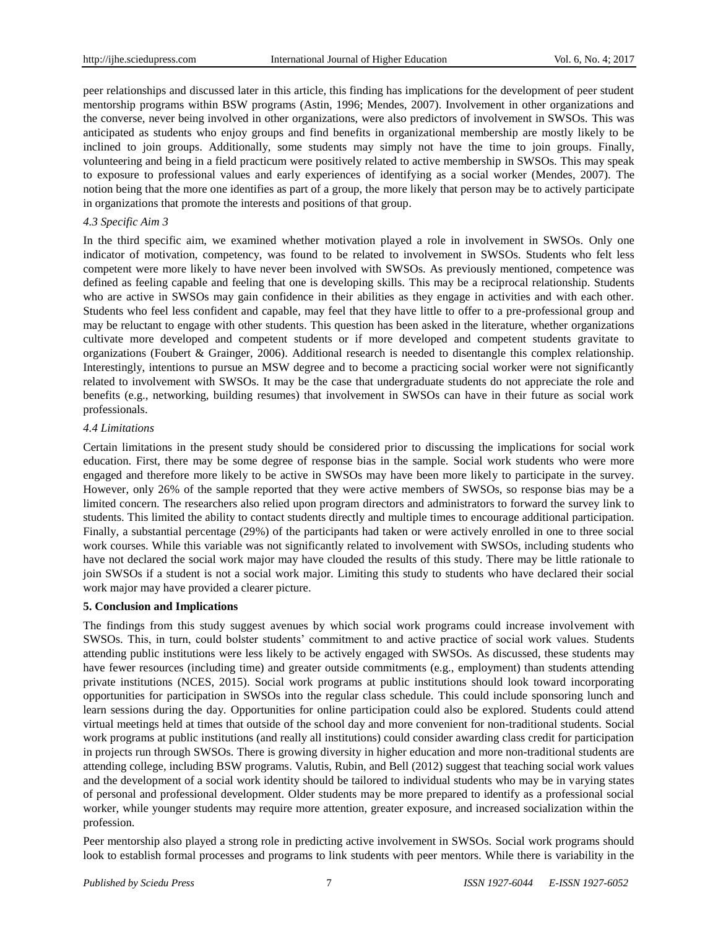peer relationships and discussed later in this article, this finding has implications for the development of peer student mentorship programs within BSW programs (Astin, 1996; Mendes, 2007). Involvement in other organizations and the converse, never being involved in other organizations, were also predictors of involvement in SWSOs. This was anticipated as students who enjoy groups and find benefits in organizational membership are mostly likely to be inclined to join groups. Additionally, some students may simply not have the time to join groups. Finally, volunteering and being in a field practicum were positively related to active membership in SWSOs. This may speak to exposure to professional values and early experiences of identifying as a social worker (Mendes, 2007). The notion being that the more one identifies as part of a group, the more likely that person may be to actively participate in organizations that promote the interests and positions of that group.

#### *4.3 Specific Aim 3*

In the third specific aim, we examined whether motivation played a role in involvement in SWSOs. Only one indicator of motivation, competency, was found to be related to involvement in SWSOs. Students who felt less competent were more likely to have never been involved with SWSOs. As previously mentioned, competence was defined as feeling capable and feeling that one is developing skills. This may be a reciprocal relationship. Students who are active in SWSOs may gain confidence in their abilities as they engage in activities and with each other. Students who feel less confident and capable, may feel that they have little to offer to a pre-professional group and may be reluctant to engage with other students. This question has been asked in the literature, whether organizations cultivate more developed and competent students or if more developed and competent students gravitate to organizations (Foubert & Grainger, 2006). Additional research is needed to disentangle this complex relationship. Interestingly, intentions to pursue an MSW degree and to become a practicing social worker were not significantly related to involvement with SWSOs. It may be the case that undergraduate students do not appreciate the role and benefits (e.g., networking, building resumes) that involvement in SWSOs can have in their future as social work professionals.

#### *4.4 Limitations*

Certain limitations in the present study should be considered prior to discussing the implications for social work education. First, there may be some degree of response bias in the sample. Social work students who were more engaged and therefore more likely to be active in SWSOs may have been more likely to participate in the survey. However, only 26% of the sample reported that they were active members of SWSOs, so response bias may be a limited concern. The researchers also relied upon program directors and administrators to forward the survey link to students. This limited the ability to contact students directly and multiple times to encourage additional participation. Finally, a substantial percentage (29%) of the participants had taken or were actively enrolled in one to three social work courses. While this variable was not significantly related to involvement with SWSOs, including students who have not declared the social work major may have clouded the results of this study. There may be little rationale to join SWSOs if a student is not a social work major. Limiting this study to students who have declared their social work major may have provided a clearer picture.

#### **5. Conclusion and Implications**

The findings from this study suggest avenues by which social work programs could increase involvement with SWSOs. This, in turn, could bolster students' commitment to and active practice of social work values. Students attending public institutions were less likely to be actively engaged with SWSOs. As discussed, these students may have fewer resources (including time) and greater outside commitments (e.g., employment) than students attending private institutions (NCES, 2015). Social work programs at public institutions should look toward incorporating opportunities for participation in SWSOs into the regular class schedule. This could include sponsoring lunch and learn sessions during the day. Opportunities for online participation could also be explored. Students could attend virtual meetings held at times that outside of the school day and more convenient for non-traditional students. Social work programs at public institutions (and really all institutions) could consider awarding class credit for participation in projects run through SWSOs. There is growing diversity in higher education and more non-traditional students are attending college, including BSW programs. Valutis, Rubin, and Bell (2012) suggest that teaching social work values and the development of a social work identity should be tailored to individual students who may be in varying states of personal and professional development. Older students may be more prepared to identify as a professional social worker, while younger students may require more attention, greater exposure, and increased socialization within the profession.

Peer mentorship also played a strong role in predicting active involvement in SWSOs. Social work programs should look to establish formal processes and programs to link students with peer mentors. While there is variability in the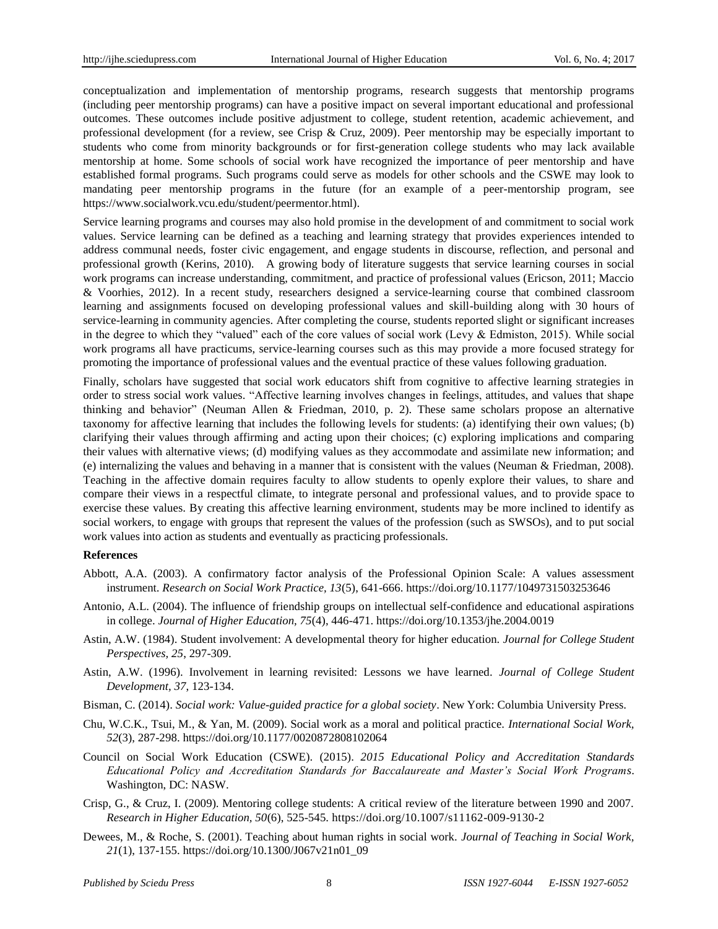conceptualization and implementation of mentorship programs, research suggests that mentorship programs (including peer mentorship programs) can have a positive impact on several important educational and professional outcomes. These outcomes include positive adjustment to college, student retention, academic achievement, and professional development (for a review, see Crisp & Cruz, 2009). Peer mentorship may be especially important to students who come from minority backgrounds or for first-generation college students who may lack available mentorship at home. Some schools of social work have recognized the importance of peer mentorship and have established formal programs. Such programs could serve as models for other schools and the CSWE may look to mandating peer mentorship programs in the future (for an example of a peer-mentorship program, see https://www.socialwork.vcu.edu/student/peermentor.html).

Service learning programs and courses may also hold promise in the development of and commitment to social work values. Service learning can be defined as a teaching and learning strategy that provides experiences intended to address communal needs, foster civic engagement, and engage students in discourse, reflection, and personal and professional growth (Kerins, 2010). A growing body of literature suggests that service learning courses in social work programs can increase understanding, commitment, and practice of professional values (Ericson, 2011; Maccio & Voorhies, 2012). In a recent study, researchers designed a service-learning course that combined classroom learning and assignments focused on developing professional values and skill-building along with 30 hours of service-learning in community agencies. After completing the course, students reported slight or significant increases in the degree to which they "valued" each of the core values of social work (Levy & Edmiston, 2015). While social work programs all have practicums, service-learning courses such as this may provide a more focused strategy for promoting the importance of professional values and the eventual practice of these values following graduation.

Finally, scholars have suggested that social work educators shift from cognitive to affective learning strategies in order to stress social work values. "Affective learning involves changes in feelings, attitudes, and values that shape thinking and behavior" (Neuman Allen & Friedman, 2010, p. 2). These same scholars propose an alternative taxonomy for affective learning that includes the following levels for students: (a) identifying their own values; (b) clarifying their values through affirming and acting upon their choices; (c) exploring implications and comparing their values with alternative views; (d) modifying values as they accommodate and assimilate new information; and (e) internalizing the values and behaving in a manner that is consistent with the values (Neuman & Friedman, 2008). Teaching in the affective domain requires faculty to allow students to openly explore their values, to share and compare their views in a respectful climate, to integrate personal and professional values, and to provide space to exercise these values. By creating this affective learning environment, students may be more inclined to identify as social workers, to engage with groups that represent the values of the profession (such as SWSOs), and to put social work values into action as students and eventually as practicing professionals.

#### **References**

- Abbott, A.A. (2003). A confirmatory factor analysis of the Professional Opinion Scale: A values assessment instrument. *Research on Social Work Practice, 13*(5), 641-666. <https://doi.org/10.1177/1049731503253646>
- Antonio, A.L. (2004). The influence of friendship groups on intellectual self-confidence and educational aspirations in college. *Journal of Higher Education, 75*(4), 446-471. <https://doi.org/10.1353/jhe.2004.0019>
- Astin, A.W. (1984). Student involvement: A developmental theory for higher education. *Journal for College Student Perspectives, 25*, 297-309.
- Astin, A.W. (1996). Involvement in learning revisited: Lessons we have learned. *Journal of College Student Development, 37*, 123-134.
- Bisman, C. (2014). *Social work: Value-guided practice for a global society*. New York: Columbia University Press.
- Chu, W.C.K., Tsui, M., & Yan, M. (2009). Social work as a moral and political practice. *International Social Work, 52*(3), 287-298.<https://doi.org/10.1177/0020872808102064>
- Council on Social Work Education (CSWE). (2015). *2015 Educational Policy and Accreditation Standards Educational Policy and Accreditation Standards for Baccalaureate and Master's Social Work Programs*. Washington, DC: NASW.
- Crisp, G., & Cruz, I. (2009). Mentoring college students: A critical review of the literature between 1990 and 2007. *Research in Higher Education, 50*(6), 525-545. <https://doi.org/10.1007/s11162-009-9130-2>
- Dewees, M., & Roche, S. (2001). Teaching about human rights in social work. *Journal of Teaching in Social Work, 21*(1), 137-155. [https://doi.org/10.1300/J067v21n01\\_09](https://doi.org/10.1300/J067v21n01_09)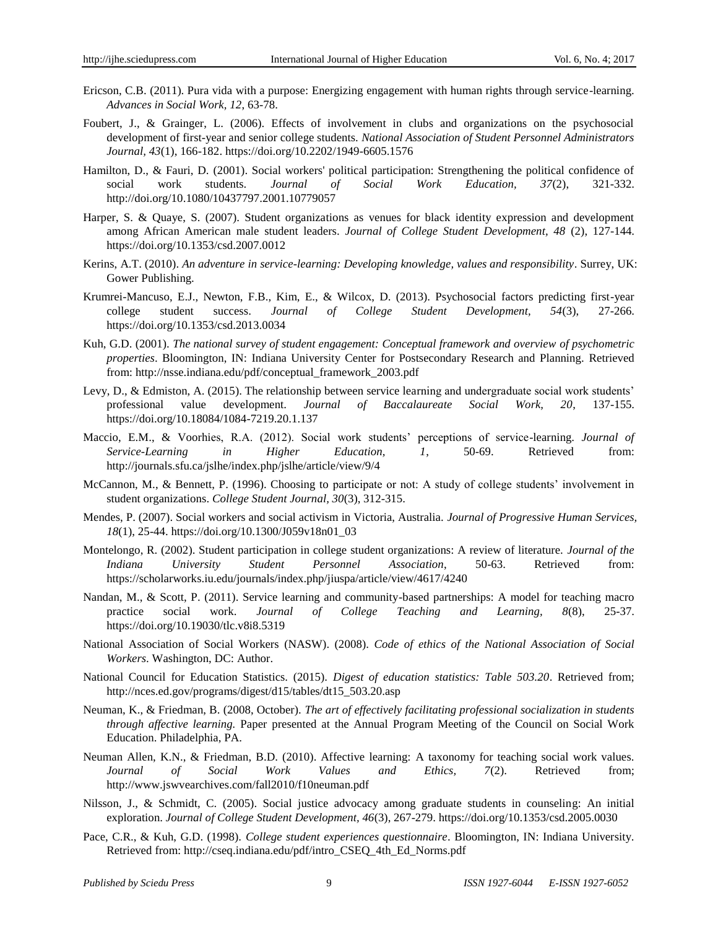- Ericson, C.B. (2011). Pura vida with a purpose: Energizing engagement with human rights through service-learning. *Advances in Social Work, 12*, 63-78.
- Foubert, J., & Grainger, L. (2006). Effects of involvement in clubs and organizations on the psychosocial development of first-year and senior college students. *National Association of Student Personnel Administrators Journal, 43*(1), 166-182. <https://doi.org/10.2202/1949-6605.1576>
- Hamilton, D., & Fauri, D. (2001). Social workers' political participation: Strengthening the political confidence of social work students. *Journal of Social Work Education, 37*(2), 321-332. http://doi.org/10.1080/10437797.2001.10779057
- Harper, S. & Quaye, S. (2007). Student organizations as venues for black identity expression and development among African American male student leaders. *Journal of College Student Development, 48* (2), 127-144. <https://doi.org/10.1353/csd.2007.0012>
- Kerins, A.T. (2010). *An adventure in service-learning: Developing knowledge, values and responsibility*. Surrey, UK: Gower Publishing.
- Krumrei-Mancuso, E.J., Newton, F.B., Kim, E., & Wilcox, D. (2013). Psychosocial factors predicting first-year college student success. *Journal of College Student Development, 54*(3), 27-266. <https://doi.org/10.1353/csd.2013.0034>
- Kuh, G.D. (2001). *The national survey of student engagement: Conceptual framework and overview of psychometric properties*. Bloomington, IN: Indiana University Center for Postsecondary Research and Planning. Retrieved from: http://nsse.indiana.edu/pdf/conceptual\_framework\_2003.pdf
- Levy, D., & Edmiston, A. (2015). The relationship between service learning and undergraduate social work students' professional value development. *Journal of Baccalaureate Social Work, 20*, 137-155. <https://doi.org/10.18084/1084-7219.20.1.137>
- Maccio, E.M., & Voorhies, R.A. (2012). Social work students' perceptions of service-learning. *Journal of Service-Learning in Higher Education, 1*, 50-69. Retrieved from: http://journals.sfu.ca/jslhe/index.php/jslhe/article/view/9/4
- McCannon, M., & Bennett, P. (1996). Choosing to participate or not: A study of college students' involvement in student organizations. *College Student Journal, 30*(3), 312-315.
- Mendes, P. (2007). Social workers and social activism in Victoria, Australia. *Journal of Progressive Human Services, 18*(1), 25-44. [https://doi.org/10.1300/J059v18n01\\_03](https://doi.org/10.1300/J059v18n01_03)
- Montelongo, R. (2002). Student participation in college student organizations: A review of literature. *Journal of the Indiana University Student Personnel Association*, 50-63. Retrieved from: https://scholarworks.iu.edu/journals/index.php/jiuspa/article/view/4617/4240
- Nandan, M., & Scott, P. (2011). Service learning and community-based partnerships: A model for teaching macro practice social work. *Journal of College Teaching and Learning, 8*(8), 25-37. <https://doi.org/10.19030/tlc.v8i8.5319>
- National Association of Social Workers (NASW). (2008). *Code of ethics of the National Association of Social Workers*. Washington, DC: Author.
- National Council for Education Statistics. (2015). *Digest of education statistics: Table 503.20*. Retrieved from; http://nces.ed.gov/programs/digest/d15/tables/dt15\_503.20.asp
- Neuman, K., & Friedman, B. (2008, October). *The art of effectively facilitating professional socialization in students through affective learning.* Paper presented at the Annual Program Meeting of the Council on Social Work Education. Philadelphia, PA.
- Neuman Allen, K.N., & Friedman, B.D. (2010). Affective learning: A taxonomy for teaching social work values. *Journal of Social Work Values and Ethics, 7*(2). Retrieved from; http://www.jswvearchives.com/fall2010/f10neuman.pdf
- Nilsson, J., & Schmidt, C. (2005). Social justice advocacy among graduate students in counseling: An initial exploration. *Journal of College Student Development, 46*(3), 267-279. <https://doi.org/10.1353/csd.2005.0030>
- Pace, C.R., & Kuh, G.D. (1998). *College student experiences questionnaire*. Bloomington, IN: Indiana University. Retrieved from: http://cseq.indiana.edu/pdf/intro\_CSEQ\_4th\_Ed\_Norms.pdf